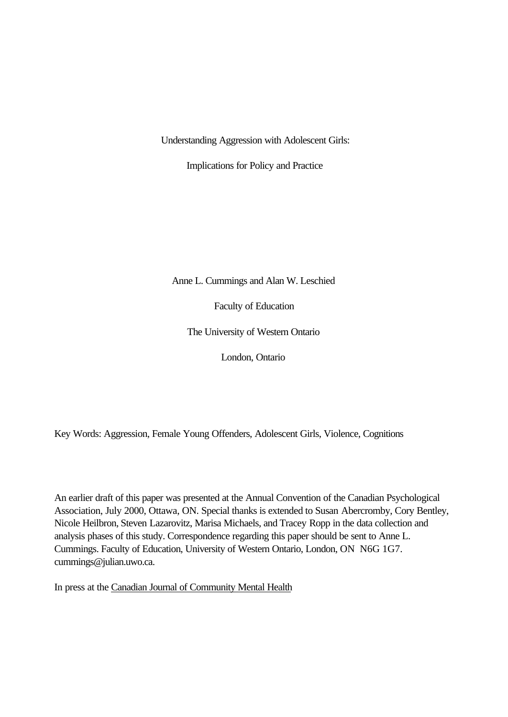Understanding Aggression with Adolescent Girls:

Implications for Policy and Practice

Anne L. Cummings and Alan W. Leschied

Faculty of Education

The University of Western Ontario

London, Ontario

Key Words: Aggression, Female Young Offenders, Adolescent Girls, Violence, Cognitions

An earlier draft of this paper was presented at the Annual Convention of the Canadian Psychological Association, July 2000, Ottawa, ON. Special thanks is extended to Susan Abercromby, Cory Bentley, Nicole Heilbron, Steven Lazarovitz, Marisa Michaels, and Tracey Ropp in the data collection and analysis phases of this study. Correspondence regarding this paper should be sent to Anne L. Cummings. Faculty of Education, University of Western Ontario, London, ON N6G 1G7. cummings@julian.uwo.ca.

In press at the Canadian Journal of Community Mental Health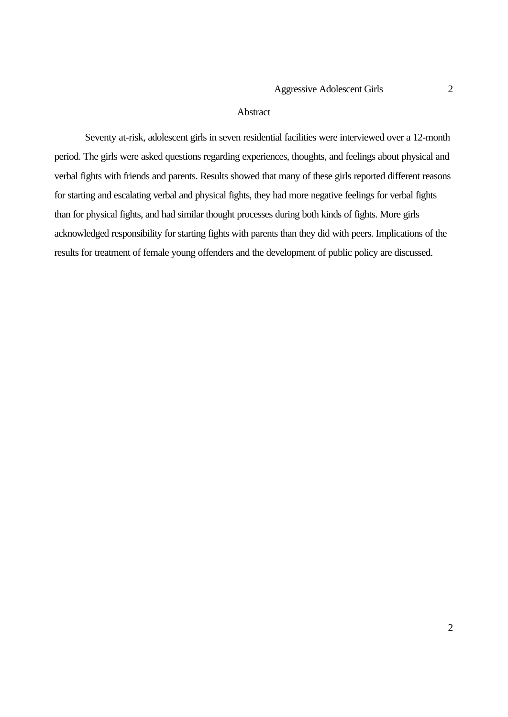#### **Abstract**

Seventy at-risk, adolescent girls in seven residential facilities were interviewed over a 12-month period. The girls were asked questions regarding experiences, thoughts, and feelings about physical and verbal fights with friends and parents. Results showed that many of these girls reported different reasons for starting and escalating verbal and physical fights, they had more negative feelings for verbal fights than for physical fights, and had similar thought processes during both kinds of fights. More girls acknowledged responsibility for starting fights with parents than they did with peers. Implications of the results for treatment of female young offenders and the development of public policy are discussed.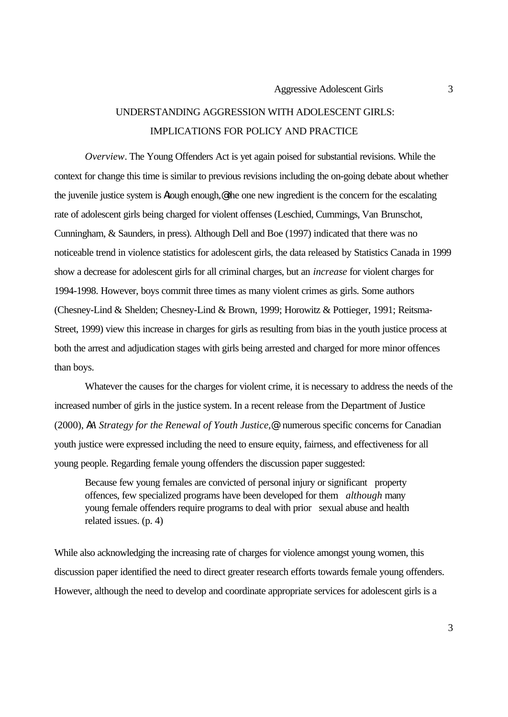## UNDERSTANDING AGGRESSION WITH ADOLESCENT GIRLS: IMPLICATIONS FOR POLICY AND PRACTICE

*Overview*. The Young Offenders Act is yet again poised for substantial revisions. While the context for change this time is similar to previous revisions including the on-going debate about whether the juvenile justice system is Atough enough,@ the one new ingredient is the concern for the escalating rate of adolescent girls being charged for violent offenses (Leschied, Cummings, Van Brunschot, Cunningham, & Saunders, in press). Although Dell and Boe (1997) indicated that there was no noticeable trend in violence statistics for adolescent girls, the data released by Statistics Canada in 1999 show a decrease for adolescent girls for all criminal charges, but an *increase* for violent charges for 1994-1998. However, boys commit three times as many violent crimes as girls. Some authors (Chesney-Lind & Shelden; Chesney-Lind & Brown, 1999; Horowitz & Pottieger, 1991; Reitsma-Street, 1999) view this increase in charges for girls as resulting from bias in the youth justice process at both the arrest and adjudication stages with girls being arrested and charged for more minor offences than boys.

Whatever the causes for the charges for violent crime, it is necessary to address the needs of the increased number of girls in the justice system. In a recent release from the Department of Justice (2000), *AA Strategy for the Renewal of Youth Justice,@* numerous specific concerns for Canadian youth justice were expressed including the need to ensure equity, fairness, and effectiveness for all young people. Regarding female young offenders the discussion paper suggested:

Because few young females are convicted of personal injury or significant property offences, few specialized programs have been developed for them *although* many young female offenders require programs to deal with prior sexual abuse and health related issues. (p. 4)

While also acknowledging the increasing rate of charges for violence amongst young women, this discussion paper identified the need to direct greater research efforts towards female young offenders. However, although the need to develop and coordinate appropriate services for adolescent girls is a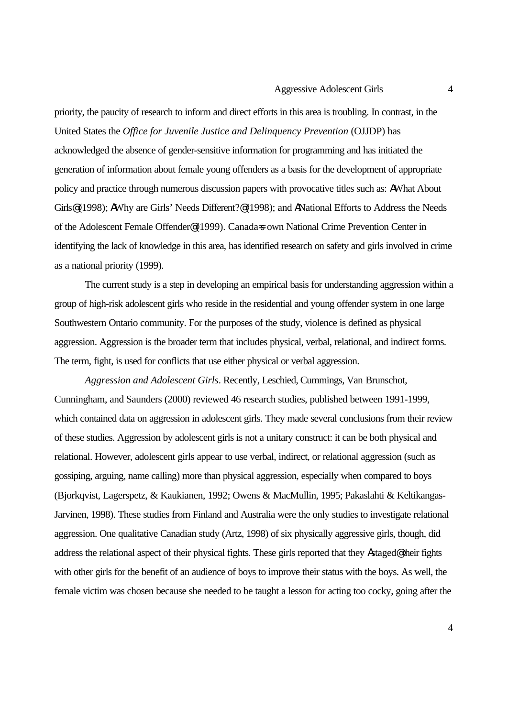priority, the paucity of research to inform and direct efforts in this area is troubling. In contrast, in the United States the *Office for Juvenile Justice and Delinquency Prevention* (OJJDP) has acknowledged the absence of gender-sensitive information for programming and has initiated the generation of information about female young offenders as a basis for the development of appropriate policy and practice through numerous discussion papers with provocative titles such as: AWhat About Girls@ (1998); AWhy are Girls' Needs Different?@ (1998); and ANational Efforts to Address the Needs of the Adolescent Female Offender@ (1999). Canada=s own National Crime Prevention Center in identifying the lack of knowledge in this area, has identified research on safety and girls involved in crime as a national priority (1999).

The current study is a step in developing an empirical basis for understanding aggression within a group of high-risk adolescent girls who reside in the residential and young offender system in one large Southwestern Ontario community. For the purposes of the study, violence is defined as physical aggression. Aggression is the broader term that includes physical, verbal, relational, and indirect forms. The term, fight, is used for conflicts that use either physical or verbal aggression.

*Aggression and Adolescent Girls*. Recently, Leschied, Cummings, Van Brunschot, Cunningham, and Saunders (2000) reviewed 46 research studies, published between 1991-1999, which contained data on aggression in adolescent girls. They made several conclusions from their review of these studies. Aggression by adolescent girls is not a unitary construct: it can be both physical and relational. However, adolescent girls appear to use verbal, indirect, or relational aggression (such as gossiping, arguing, name calling) more than physical aggression, especially when compared to boys (Bjorkqvist, Lagerspetz, & Kaukianen, 1992; Owens & MacMullin, 1995; Pakaslahti & Keltikangas-Jarvinen, 1998). These studies from Finland and Australia were the only studies to investigate relational aggression. One qualitative Canadian study (Artz, 1998) of six physically aggressive girls, though, did address the relational aspect of their physical fights. These girls reported that they Astaged@ their fights with other girls for the benefit of an audience of boys to improve their status with the boys. As well, the female victim was chosen because she needed to be taught a lesson for acting too cocky, going after the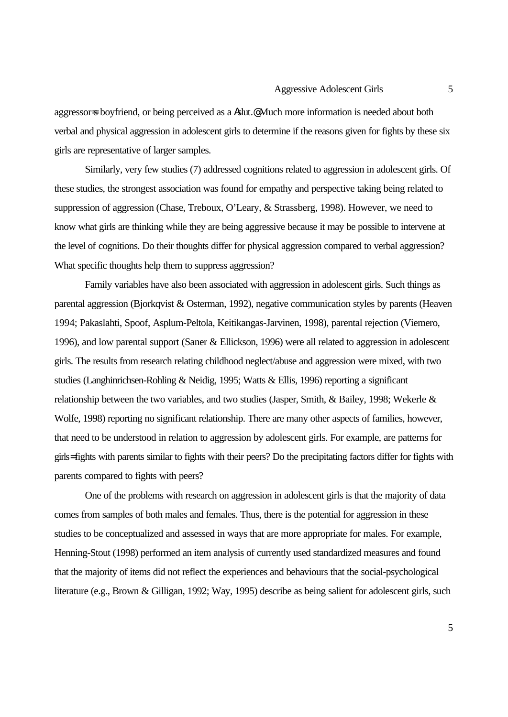aggressor=s boyfriend, or being perceived as a Aslut.@ Much more information is needed about both verbal and physical aggression in adolescent girls to determine if the reasons given for fights by these six girls are representative of larger samples.

Similarly, very few studies (7) addressed cognitions related to aggression in adolescent girls. Of these studies, the strongest association was found for empathy and perspective taking being related to suppression of aggression (Chase, Treboux, O'Leary, & Strassberg, 1998). However, we need to know what girls are thinking while they are being aggressive because it may be possible to intervene at the level of cognitions. Do their thoughts differ for physical aggression compared to verbal aggression? What specific thoughts help them to suppress aggression?

Family variables have also been associated with aggression in adolescent girls. Such things as parental aggression (Bjorkqvist & Osterman, 1992), negative communication styles by parents (Heaven 1994; Pakaslahti, Spoof, Asplum-Peltola, Keitikangas-Jarvinen, 1998), parental rejection (Viemero, 1996), and low parental support (Saner & Ellickson, 1996) were all related to aggression in adolescent girls. The results from research relating childhood neglect/abuse and aggression were mixed, with two studies (Langhinrichsen-Rohling & Neidig, 1995; Watts & Ellis, 1996) reporting a significant relationship between the two variables, and two studies (Jasper, Smith, & Bailey, 1998; Wekerle & Wolfe, 1998) reporting no significant relationship. There are many other aspects of families, however, that need to be understood in relation to aggression by adolescent girls. For example, are patterns for girls= fights with parents similar to fights with their peers? Do the precipitating factors differ for fights with parents compared to fights with peers?

One of the problems with research on aggression in adolescent girls is that the majority of data comes from samples of both males and females. Thus, there is the potential for aggression in these studies to be conceptualized and assessed in ways that are more appropriate for males. For example, Henning-Stout (1998) performed an item analysis of currently used standardized measures and found that the majority of items did not reflect the experiences and behaviours that the social-psychological literature (e.g., Brown & Gilligan, 1992; Way, 1995) describe as being salient for adolescent girls, such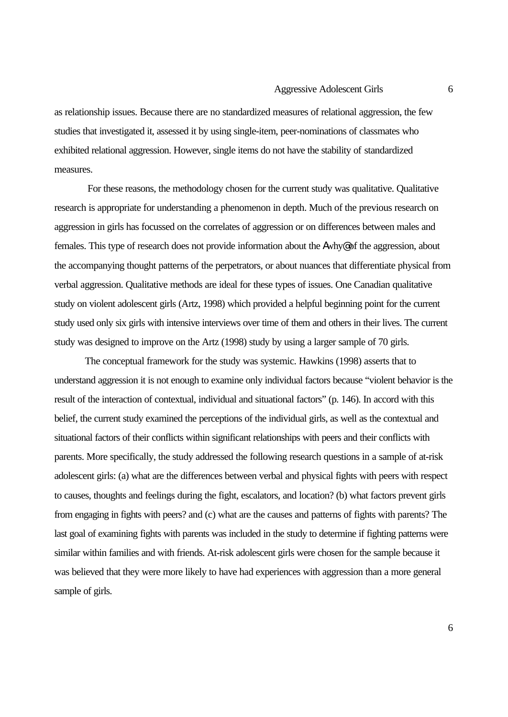as relationship issues. Because there are no standardized measures of relational aggression, the few studies that investigated it, assessed it by using single-item, peer-nominations of classmates who exhibited relational aggression. However, single items do not have the stability of standardized measures.

 For these reasons, the methodology chosen for the current study was qualitative. Qualitative research is appropriate for understanding a phenomenon in depth. Much of the previous research on aggression in girls has focussed on the correlates of aggression or on differences between males and females. This type of research does not provide information about the Awhy@ of the aggression, about the accompanying thought patterns of the perpetrators, or about nuances that differentiate physical from verbal aggression. Qualitative methods are ideal for these types of issues. One Canadian qualitative study on violent adolescent girls (Artz, 1998) which provided a helpful beginning point for the current study used only six girls with intensive interviews over time of them and others in their lives. The current study was designed to improve on the Artz (1998) study by using a larger sample of 70 girls.

The conceptual framework for the study was systemic. Hawkins (1998) asserts that to understand aggression it is not enough to examine only individual factors because "violent behavior is the result of the interaction of contextual, individual and situational factors" (p. 146). In accord with this belief, the current study examined the perceptions of the individual girls, as well as the contextual and situational factors of their conflicts within significant relationships with peers and their conflicts with parents. More specifically, the study addressed the following research questions in a sample of at-risk adolescent girls: (a) what are the differences between verbal and physical fights with peers with respect to causes, thoughts and feelings during the fight, escalators, and location? (b) what factors prevent girls from engaging in fights with peers? and (c) what are the causes and patterns of fights with parents? The last goal of examining fights with parents was included in the study to determine if fighting patterns were similar within families and with friends. At-risk adolescent girls were chosen for the sample because it was believed that they were more likely to have had experiences with aggression than a more general sample of girls.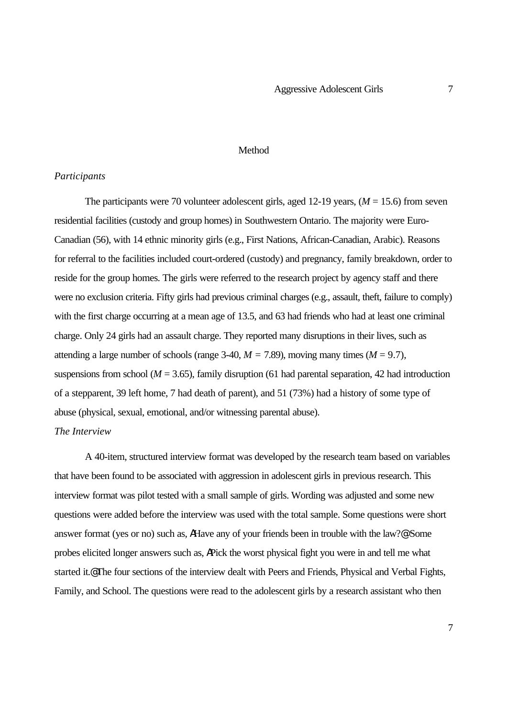#### Method

#### *Participants*

The participants were 70 volunteer adolescent girls, aged 12-19 years, ( $M = 15.6$ ) from seven residential facilities (custody and group homes) in Southwestern Ontario. The majority were Euro-Canadian (56), with 14 ethnic minority girls (e.g., First Nations, African-Canadian, Arabic). Reasons for referral to the facilities included court-ordered (custody) and pregnancy, family breakdown, order to reside for the group homes. The girls were referred to the research project by agency staff and there were no exclusion criteria. Fifty girls had previous criminal charges (e.g., assault, theft, failure to comply) with the first charge occurring at a mean age of 13.5, and 63 had friends who had at least one criminal charge. Only 24 girls had an assault charge. They reported many disruptions in their lives, such as attending a large number of schools (range 3-40,  $M = 7.89$ ), moving many times ( $M = 9.7$ ), suspensions from school ( $M = 3.65$ ), family disruption (61 had parental separation, 42 had introduction of a stepparent, 39 left home, 7 had death of parent), and 51 (73%) had a history of some type of abuse (physical, sexual, emotional, and/or witnessing parental abuse). *The Interview*

# A 40-item, structured interview format was developed by the research team based on variables that have been found to be associated with aggression in adolescent girls in previous research. This interview format was pilot tested with a small sample of girls. Wording was adjusted and some new questions were added before the interview was used with the total sample. Some questions were short answer format (yes or no) such as, AHave any of your friends been in trouble with the law?@ Some probes elicited longer answers such as, APick the worst physical fight you were in and tell me what started it.@ The four sections of the interview dealt with Peers and Friends, Physical and Verbal Fights, Family, and School. The questions were read to the adolescent girls by a research assistant who then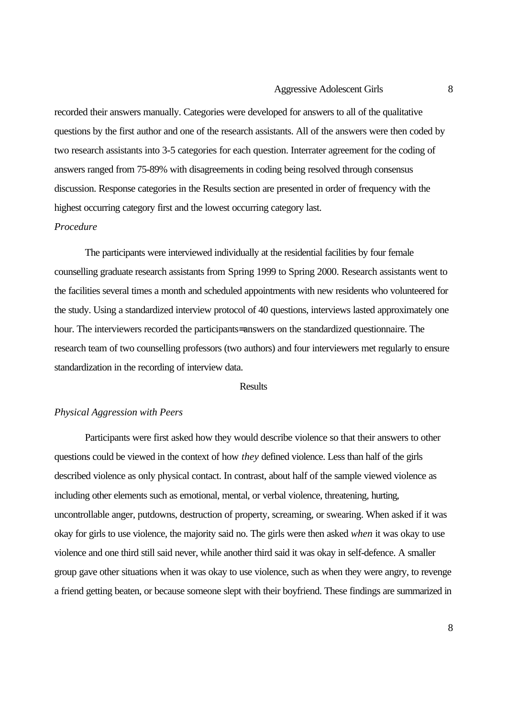recorded their answers manually. Categories were developed for answers to all of the qualitative questions by the first author and one of the research assistants. All of the answers were then coded by two research assistants into 3-5 categories for each question. Interrater agreement for the coding of answers ranged from 75-89% with disagreements in coding being resolved through consensus discussion. Response categories in the Results section are presented in order of frequency with the highest occurring category first and the lowest occurring category last.

#### *Procedure*

The participants were interviewed individually at the residential facilities by four female counselling graduate research assistants from Spring 1999 to Spring 2000. Research assistants went to the facilities several times a month and scheduled appointments with new residents who volunteered for the study. Using a standardized interview protocol of 40 questions, interviews lasted approximately one hour. The interviewers recorded the participants= answers on the standardized questionnaire. The research team of two counselling professors (two authors) and four interviewers met regularly to ensure standardization in the recording of interview data.

#### Results

#### *Physical Aggression with Peers*

Participants were first asked how they would describe violence so that their answers to other questions could be viewed in the context of how *they* defined violence. Less than half of the girls described violence as only physical contact. In contrast, about half of the sample viewed violence as including other elements such as emotional, mental, or verbal violence, threatening, hurting, uncontrollable anger, putdowns, destruction of property, screaming, or swearing. When asked if it was okay for girls to use violence, the majority said no. The girls were then asked *when* it was okay to use violence and one third still said never, while another third said it was okay in self-defence. A smaller group gave other situations when it was okay to use violence, such as when they were angry, to revenge a friend getting beaten, or because someone slept with their boyfriend. These findings are summarized in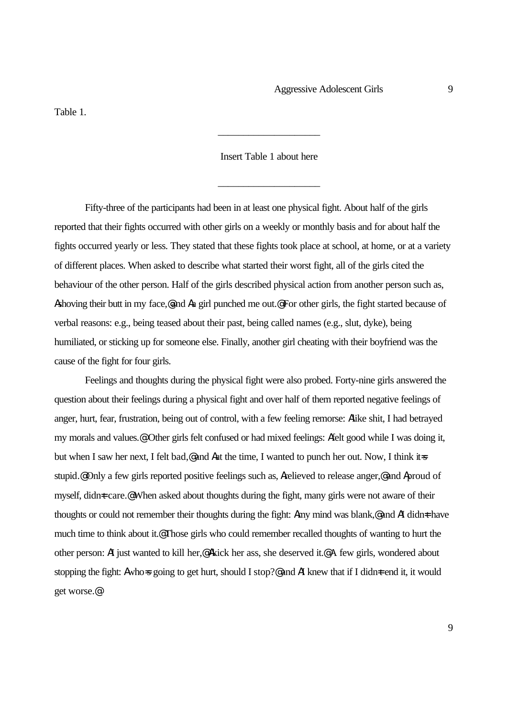Table 1.

#### Insert Table 1 about here

\_\_\_\_\_\_\_\_\_\_\_\_\_\_\_\_\_\_\_\_

\_\_\_\_\_\_\_\_\_\_\_\_\_\_\_\_\_\_\_\_

Fifty-three of the participants had been in at least one physical fight. About half of the girls reported that their fights occurred with other girls on a weekly or monthly basis and for about half the fights occurred yearly or less. They stated that these fights took place at school, at home, or at a variety of different places. When asked to describe what started their worst fight, all of the girls cited the behaviour of the other person. Half of the girls described physical action from another person such as, Ashoving their butt in my face,@and Aa girl punched me out.@ For other girls, the fight started because of verbal reasons: e.g., being teased about their past, being called names (e.g., slut, dyke), being humiliated, or sticking up for someone else. Finally, another girl cheating with their boyfriend was the cause of the fight for four girls.

Feelings and thoughts during the physical fight were also probed. Forty-nine girls answered the question about their feelings during a physical fight and over half of them reported negative feelings of anger, hurt, fear, frustration, being out of control, with a few feeling remorse: Alike shit, I had betrayed my morals and values.@ Other girls felt confused or had mixed feelings: Afelt good while I was doing it, but when I saw her next, I felt bad,@ and Aat the time, I wanted to punch her out. Now, I think it=s stupid.@ Only a few girls reported positive feelings such as, Arelieved to release anger,@ and Aproud of myself, didn t care.@ When asked about thoughts during the fight, many girls were not aware of their thoughts or could not remember their thoughts during the fight: Amy mind was blank,@ and AI didn=t have much time to think about it.@ Those girls who could remember recalled thoughts of wanting to hurt the other person: AI just wanted to kill her,@ Akick her ass, she deserved it.@ A few girls, wondered about stopping the fight: Awho-s going to get hurt, should I stop?@ and AI knew that if I didn  $\pm$  end it, it would get worse.@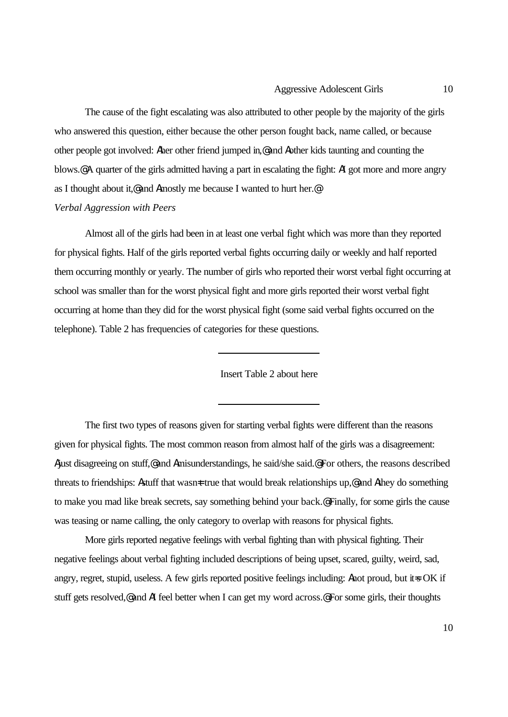The cause of the fight escalating was also attributed to other people by the majority of the girls who answered this question, either because the other person fought back, name called, or because other people got involved: Aher other friend jumped in,@ and Aother kids taunting and counting the blows.@ A quarter of the girls admitted having a part in escalating the fight: AI got more and more angry as I thought about it,@ and Amostly me because I wanted to hurt her.@ *Verbal Aggression with Peers*

Almost all of the girls had been in at least one verbal fight which was more than they reported for physical fights. Half of the girls reported verbal fights occurring daily or weekly and half reported them occurring monthly or yearly. The number of girls who reported their worst verbal fight occurring at school was smaller than for the worst physical fight and more girls reported their worst verbal fight occurring at home than they did for the worst physical fight (some said verbal fights occurred on the telephone). Table 2 has frequencies of categories for these questions.

 $\overline{a}$ 

 $\overline{a}$ 

Insert Table 2 about here

The first two types of reasons given for starting verbal fights were different than the reasons given for physical fights. The most common reason from almost half of the girls was a disagreement: Ajust disagreeing on stuff,@ and Amisunderstandings, he said/she said.@ For others, the reasons described threats to friendships: Astuff that wasn=t true that would break relationships up,@ and Athey do something to make you mad like break secrets, say something behind your back.@ Finally, for some girls the cause was teasing or name calling, the only category to overlap with reasons for physical fights.

More girls reported negative feelings with verbal fighting than with physical fighting. Their negative feelings about verbal fighting included descriptions of being upset, scared, guilty, weird, sad, angry, regret, stupid, useless. A few girls reported positive feelings including: Anot proud, but it=s OK if stuff gets resolved,@ and AI feel better when I can get my word across.@ For some girls, their thoughts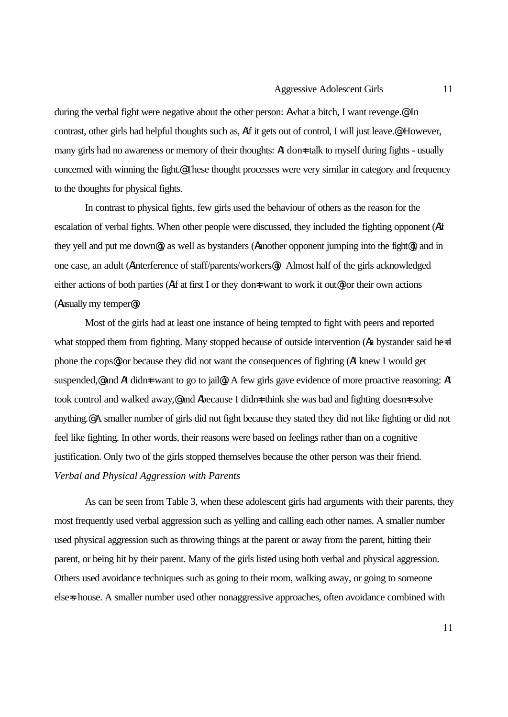during the verbal fight were negative about the other person: Awhat a bitch, I want revenge.@ In contrast, other girls had helpful thoughts such as, Aif it gets out of control, I will just leave.@ However, many girls had no awareness or memory of their thoughts: AI don<sup>t</sup> talk to myself during fights - usually concerned with winning the fight.@ These thought processes were very similar in category and frequency to the thoughts for physical fights.

In contrast to physical fights, few girls used the behaviour of others as the reason for the escalation of verbal fights. When other people were discussed, they included the fighting opponent (Aif they yell and put me down@), as well as bystanders (Aanother opponent jumping into the fight@), and in one case, an adult (Ainterference of staff/parents/workers@). Almost half of the girls acknowledged either actions of both parties (Aif at first I or they don<del>t</del> want to work it out<sup>®</sup>) or their own actions (Ausually my temper@).

Most of the girls had at least one instance of being tempted to fight with peers and reported what stopped them from fighting. Many stopped because of outside intervention (Aa bystander said he=d phone the cops@) or because they did not want the consequences of fighting (AI knew I would get suspended,@ and AI didn=t want to go to jail@). A few girls gave evidence of more proactive reasoning: AI took control and walked away,@ and Abecause I didn  $\pm$  think she was bad and fighting doesn  $\pm$  solve anything.@ A smaller number of girls did not fight because they stated they did not like fighting or did not feel like fighting. In other words, their reasons were based on feelings rather than on a cognitive justification. Only two of the girls stopped themselves because the other person was their friend. *Verbal and Physical Aggression with Parents*

As can be seen from Table 3, when these adolescent girls had arguments with their parents, they most frequently used verbal aggression such as yelling and calling each other names. A smaller number used physical aggression such as throwing things at the parent or away from the parent, hitting their parent, or being hit by their parent. Many of the girls listed using both verbal and physical aggression. Others used avoidance techniques such as going to their room, walking away, or going to someone else=s house. A smaller number used other nonaggressive approaches, often avoidance combined with

11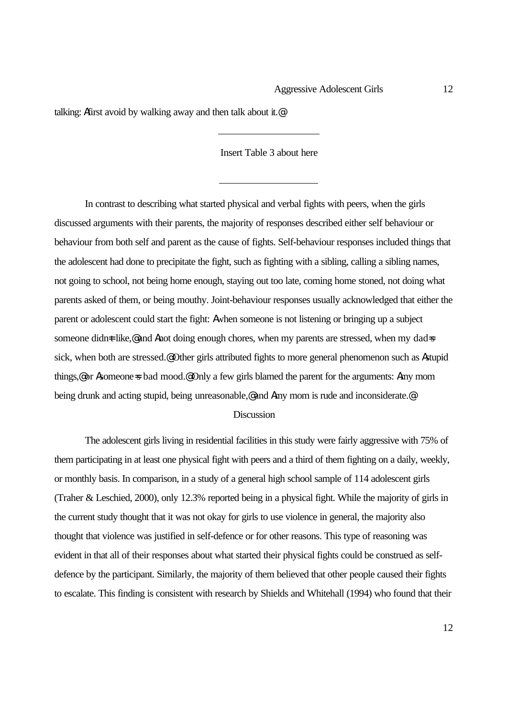talking: Afirst avoid by walking away and then talk about it.@

#### Insert Table 3 about here

 $\overline{a}$ 

In contrast to describing what started physical and verbal fights with peers, when the girls discussed arguments with their parents, the majority of responses described either self behaviour or behaviour from both self and parent as the cause of fights. Self-behaviour responses included things that the adolescent had done to precipitate the fight, such as fighting with a sibling, calling a sibling names, not going to school, not being home enough, staying out too late, coming home stoned, not doing what parents asked of them, or being mouthy. Joint-behaviour responses usually acknowledged that either the parent or adolescent could start the fight: Awhen someone is not listening or bringing up a subject someone didn t like,@ and Anot doing enough chores, when my parents are stressed, when my dad=s sick, when both are stressed.@ Other girls attributed fights to more general phenomenon such as Astupid things,@ or Asomeone=s bad mood.@ Only a few girls blamed the parent for the arguments: Amy mom being drunk and acting stupid, being unreasonable,@ and Amy mom is rude and inconsiderate.@

#### **Discussion**

The adolescent girls living in residential facilities in this study were fairly aggressive with 75% of them participating in at least one physical fight with peers and a third of them fighting on a daily, weekly, or monthly basis. In comparison, in a study of a general high school sample of 114 adolescent girls (Traher & Leschied, 2000), only 12.3% reported being in a physical fight. While the majority of girls in the current study thought that it was not okay for girls to use violence in general, the majority also thought that violence was justified in self-defence or for other reasons. This type of reasoning was evident in that all of their responses about what started their physical fights could be construed as selfdefence by the participant. Similarly, the majority of them believed that other people caused their fights to escalate. This finding is consistent with research by Shields and Whitehall (1994) who found that their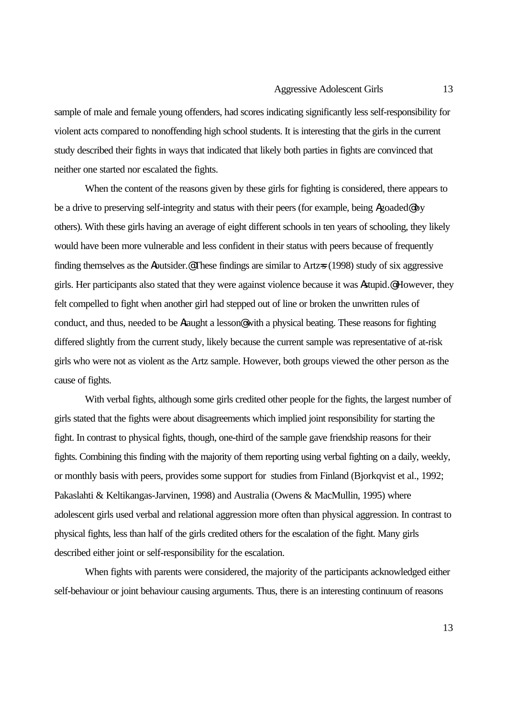sample of male and female young offenders, had scores indicating significantly less self-responsibility for violent acts compared to nonoffending high school students. It is interesting that the girls in the current study described their fights in ways that indicated that likely both parties in fights are convinced that neither one started nor escalated the fights.

When the content of the reasons given by these girls for fighting is considered, there appears to be a drive to preserving self-integrity and status with their peers (for example, being Agoaded@ by others). With these girls having an average of eight different schools in ten years of schooling, they likely would have been more vulnerable and less confident in their status with peers because of frequently finding themselves as the Aoutsider. These findings are similar to Artz=s (1998) study of six aggressive girls. Her participants also stated that they were against violence because it was Astupid.@ However, they felt compelled to fight when another girl had stepped out of line or broken the unwritten rules of conduct, and thus, needed to be Ataught a lesson@ with a physical beating. These reasons for fighting differed slightly from the current study, likely because the current sample was representative of at-risk girls who were not as violent as the Artz sample. However, both groups viewed the other person as the cause of fights.

With verbal fights, although some girls credited other people for the fights, the largest number of girls stated that the fights were about disagreements which implied joint responsibility for starting the fight. In contrast to physical fights, though, one-third of the sample gave friendship reasons for their fights. Combining this finding with the majority of them reporting using verbal fighting on a daily, weekly, or monthly basis with peers, provides some support for studies from Finland (Bjorkqvist et al., 1992; Pakaslahti & Keltikangas-Jarvinen, 1998) and Australia (Owens & MacMullin, 1995) where adolescent girls used verbal and relational aggression more often than physical aggression. In contrast to physical fights, less than half of the girls credited others for the escalation of the fight. Many girls described either joint or self-responsibility for the escalation.

When fights with parents were considered, the majority of the participants acknowledged either self-behaviour or joint behaviour causing arguments. Thus, there is an interesting continuum of reasons

13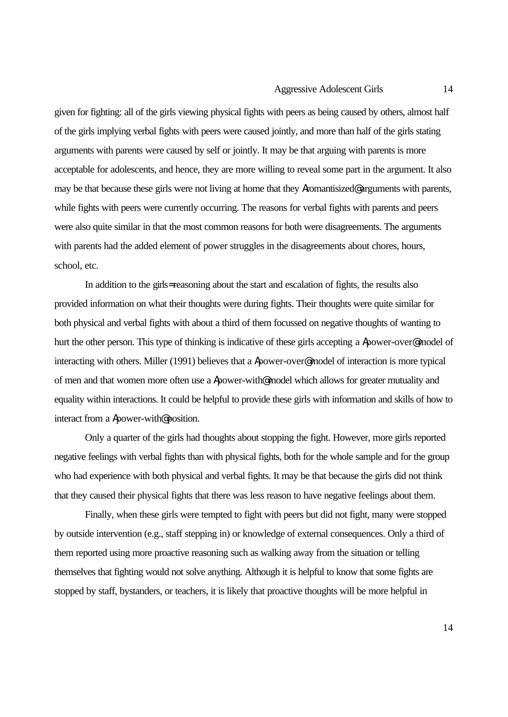given for fighting: all of the girls viewing physical fights with peers as being caused by others, almost half of the girls implying verbal fights with peers were caused jointly, and more than half of the girls stating arguments with parents were caused by self or jointly. It may be that arguing with parents is more acceptable for adolescents, and hence, they are more willing to reveal some part in the argument. It also may be that because these girls were not living at home that they Aromantisized@ arguments with parents, while fights with peers were currently occurring. The reasons for verbal fights with parents and peers were also quite similar in that the most common reasons for both were disagreements. The arguments with parents had the added element of power struggles in the disagreements about chores, hours, school, etc.

In addition to the girls= reasoning about the start and escalation of fights, the results also provided information on what their thoughts were during fights. Their thoughts were quite similar for both physical and verbal fights with about a third of them focussed on negative thoughts of wanting to hurt the other person. This type of thinking is indicative of these girls accepting a Apower-over@ model of interacting with others. Miller (1991) believes that a Apower-over@ model of interaction is more typical of men and that women more often use a Apower-with@ model which allows for greater mutuality and equality within interactions. It could be helpful to provide these girls with information and skills of how to interact from a Apower-with@ position.

Only a quarter of the girls had thoughts about stopping the fight. However, more girls reported negative feelings with verbal fights than with physical fights, both for the whole sample and for the group who had experience with both physical and verbal fights. It may be that because the girls did not think that they caused their physical fights that there was less reason to have negative feelings about them.

Finally, when these girls were tempted to fight with peers but did not fight, many were stopped by outside intervention (e.g., staff stepping in) or knowledge of external consequences. Only a third of them reported using more proactive reasoning such as walking away from the situation or telling themselves that fighting would not solve anything. Although it is helpful to know that some fights are stopped by staff, bystanders, or teachers, it is likely that proactive thoughts will be more helpful in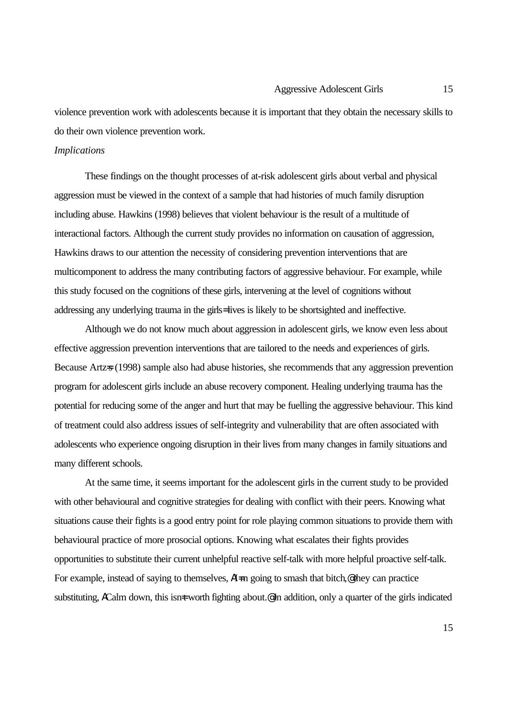violence prevention work with adolescents because it is important that they obtain the necessary skills to do their own violence prevention work.

#### *Implications*

These findings on the thought processes of at-risk adolescent girls about verbal and physical aggression must be viewed in the context of a sample that had histories of much family disruption including abuse. Hawkins (1998) believes that violent behaviour is the result of a multitude of interactional factors. Although the current study provides no information on causation of aggression, Hawkins draws to our attention the necessity of considering prevention interventions that are multicomponent to address the many contributing factors of aggressive behaviour. For example, while this study focused on the cognitions of these girls, intervening at the level of cognitions without addressing any underlying trauma in the girls= lives is likely to be shortsighted and ineffective.

Although we do not know much about aggression in adolescent girls, we know even less about effective aggression prevention interventions that are tailored to the needs and experiences of girls. Because Artz=s (1998) sample also had abuse histories, she recommends that any aggression prevention program for adolescent girls include an abuse recovery component. Healing underlying trauma has the potential for reducing some of the anger and hurt that may be fuelling the aggressive behaviour. This kind of treatment could also address issues of self-integrity and vulnerability that are often associated with adolescents who experience ongoing disruption in their lives from many changes in family situations and many different schools.

At the same time, it seems important for the adolescent girls in the current study to be provided with other behavioural and cognitive strategies for dealing with conflict with their peers. Knowing what situations cause their fights is a good entry point for role playing common situations to provide them with behavioural practice of more prosocial options. Knowing what escalates their fights provides opportunities to substitute their current unhelpful reactive self-talk with more helpful proactive self-talk. For example, instead of saying to themselves,  $\Lambda I = m$  going to smash that bitch,  $\Phi$  they can practice substituting, ACalm down, this isn t worth fighting about.<sup>@</sup> In addition, only a quarter of the girls indicated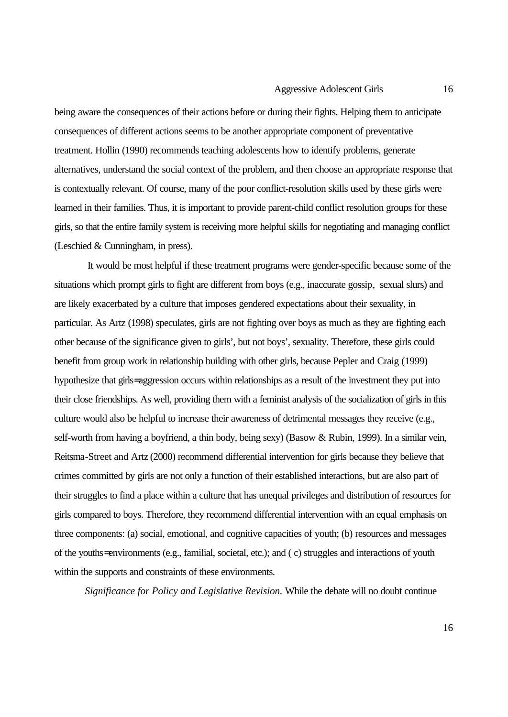being aware the consequences of their actions before or during their fights. Helping them to anticipate consequences of different actions seems to be another appropriate component of preventative treatment. Hollin (1990) recommends teaching adolescents how to identify problems, generate alternatives, understand the social context of the problem, and then choose an appropriate response that is contextually relevant. Of course, many of the poor conflict-resolution skills used by these girls were learned in their families. Thus, it is important to provide parent-child conflict resolution groups for these girls, so that the entire family system is receiving more helpful skills for negotiating and managing conflict (Leschied & Cunningham, in press).

 It would be most helpful if these treatment programs were gender-specific because some of the situations which prompt girls to fight are different from boys (e.g., inaccurate gossip, sexual slurs) and are likely exacerbated by a culture that imposes gendered expectations about their sexuality, in particular. As Artz (1998) speculates, girls are not fighting over boys as much as they are fighting each other because of the significance given to girls', but not boys', sexuality. Therefore, these girls could benefit from group work in relationship building with other girls, because Pepler and Craig (1999) hypothesize that girls= aggression occurs within relationships as a result of the investment they put into their close friendships. As well, providing them with a feminist analysis of the socialization of girls in this culture would also be helpful to increase their awareness of detrimental messages they receive (e.g., self-worth from having a boyfriend, a thin body, being sexy) (Basow & Rubin, 1999). In a similar vein, Reitsma-Street and Artz (2000) recommend differential intervention for girls because they believe that crimes committed by girls are not only a function of their established interactions, but are also part of their struggles to find a place within a culture that has unequal privileges and distribution of resources for girls compared to boys. Therefore, they recommend differential intervention with an equal emphasis on three components: (a) social, emotional, and cognitive capacities of youth; (b) resources and messages of the youths= environments (e.g., familial, societal, etc.); and ( c) struggles and interactions of youth within the supports and constraints of these environments.

*Significance for Policy and Legislative Revision.* While the debate will no doubt continue

16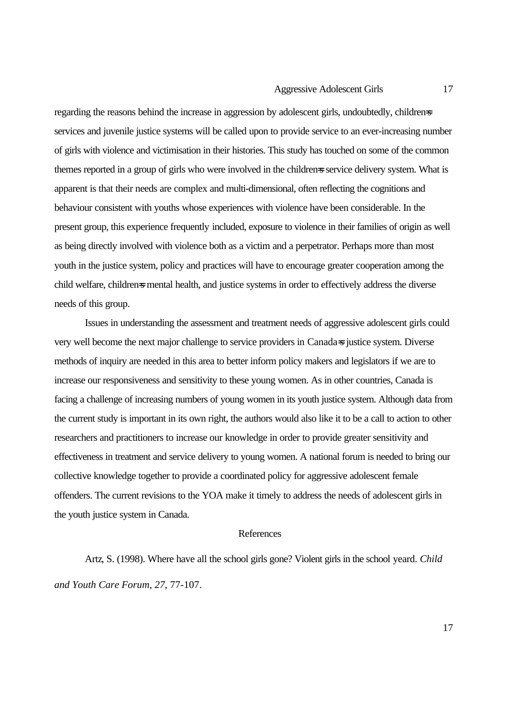regarding the reasons behind the increase in aggression by adolescent girls, undoubtedly, childrens services and juvenile justice systems will be called upon to provide service to an ever-increasing number of girls with violence and victimisation in their histories. This study has touched on some of the common themes reported in a group of girls who were involved in the children=s service delivery system. What is apparent is that their needs are complex and multi-dimensional, often reflecting the cognitions and behaviour consistent with youths whose experiences with violence have been considerable. In the present group, this experience frequently included, exposure to violence in their families of origin as well as being directly involved with violence both as a victim and a perpetrator. Perhaps more than most youth in the justice system, policy and practices will have to encourage greater cooperation among the child welfare, children=s mental health, and justice systems in order to effectively address the diverse needs of this group.

Issues in understanding the assessment and treatment needs of aggressive adolescent girls could very well become the next major challenge to service providers in Canada=s justice system. Diverse methods of inquiry are needed in this area to better inform policy makers and legislators if we are to increase our responsiveness and sensitivity to these young women. As in other countries, Canada is facing a challenge of increasing numbers of young women in its youth justice system. Although data from the current study is important in its own right, the authors would also like it to be a call to action to other researchers and practitioners to increase our knowledge in order to provide greater sensitivity and effectiveness in treatment and service delivery to young women. A national forum is needed to bring our collective knowledge together to provide a coordinated policy for aggressive adolescent female offenders. The current revisions to the YOA make it timely to address the needs of adolescent girls in the youth justice system in Canada.

#### References

Artz, S. (1998). Where have all the school girls gone? Violent girls in the school yeard. *Child and Youth Care Forum, 27*, 77-107.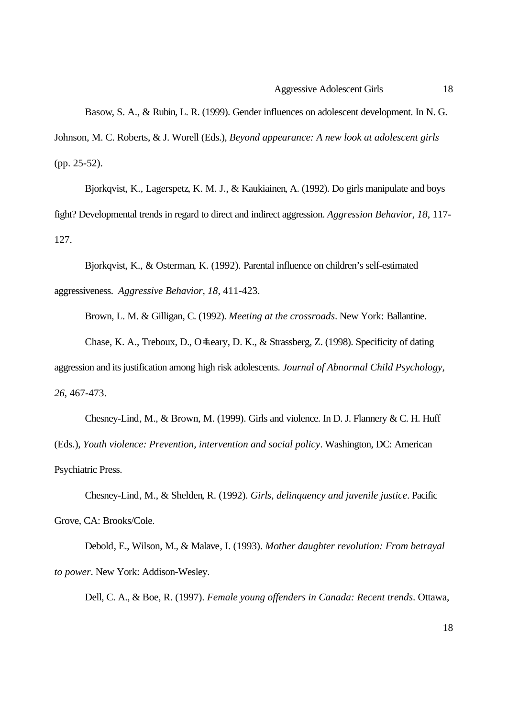Basow, S. A., & Rubin, L. R. (1999). Gender influences on adolescent development. In N. G. Johnson, M. C. Roberts, & J. Worell (Eds.), *Beyond appearance: A new look at adolescent girls* (pp. 25-52).

Bjorkqvist, K., Lagerspetz, K. M. J., & Kaukiainen, A. (1992). Do girls manipulate and boys fight? Developmental trends in regard to direct and indirect aggression. *Aggression Behavior, 18*, 117- 127.

Bjorkqvist, K., & Osterman, K. (1992). Parental influence on children's self-estimated aggressiveness. *Aggressive Behavior, 18*, 411-423.

Brown, L. M. & Gilligan, C. (1992). *Meeting at the crossroads*. New York: Ballantine.

Chase, K. A., Treboux, D., O=Leary, D. K., & Strassberg, Z. (1998). Specificity of dating aggression and its justification among high risk adolescents. *Journal of Abnormal Child Psychology, 26*, 467-473.

Chesney-Lind, M., & Brown, M. (1999). Girls and violence. In D. J. Flannery & C. H. Huff (Eds.), *Youth violence: Prevention, intervention and social policy*. Washington, DC: American Psychiatric Press.

Chesney-Lind, M., & Shelden, R. (1992). *Girls, delinquency and juvenile justice*. Pacific Grove, CA: Brooks/Cole.

Debold, E., Wilson, M., & Malave, I. (1993). *Mother daughter revolution: From betrayal to power*. New York: Addison-Wesley.

Dell, C. A., & Boe, R. (1997). *Female young offenders in Canada: Recent trends*. Ottawa,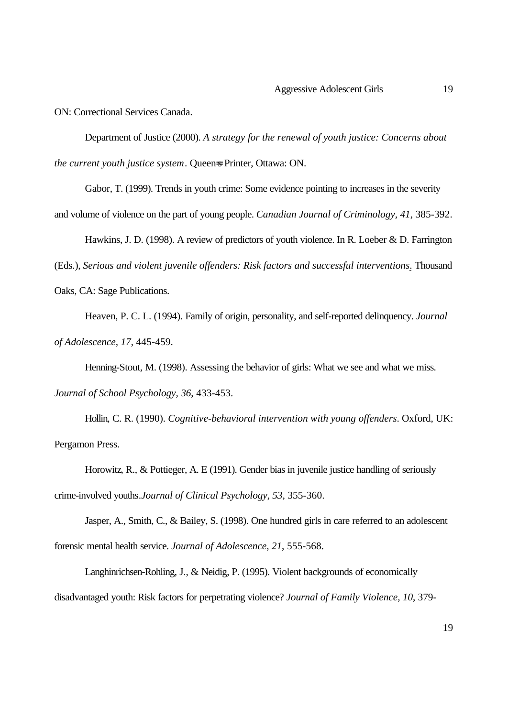ON: Correctional Services Canada.

Department of Justice (2000). *A strategy for the renewal of youth justice: Concerns about the current youth justice system*. Queen=s Printer, Ottawa: ON.

Gabor, T. (1999). Trends in youth crime: Some evidence pointing to increases in the severity and volume of violence on the part of young people. *Canadian Journal of Criminology, 41*, 385-392.

Hawkins, J. D. (1998). A review of predictors of youth violence. In R. Loeber & D. Farrington

(Eds.), *Serious and violent juvenile offenders: Risk factors and successful interventions*. Thousand

Oaks, CA: Sage Publications.

Heaven, P. C. L. (1994). Family of origin, personality, and self-reported delinquency. *Journal of Adolescence, 17*, 445-459.

Henning-Stout, M. (1998). Assessing the behavior of girls: What we see and what we miss.

*Journal of School Psychology, 36*, 433-453.

Hollin, C. R. (1990). *Cognitive-behavioral intervention with young offenders*. Oxford, UK: Pergamon Press.

Horowitz, R., & Pottieger, A. E (1991). Gender bias in juvenile justice handling of seriously crime-involved youths.*Journal of Clinical Psychology, 53*, 355-360.

Jasper, A., Smith, C., & Bailey, S. (1998). One hundred girls in care referred to an adolescent forensic mental health service. *Journal of Adolescence, 21*, 555-568.

Langhinrichsen-Rohling, J., & Neidig, P. (1995). Violent backgrounds of economically disadvantaged youth: Risk factors for perpetrating violence? *Journal of Family Violence, 10*, 379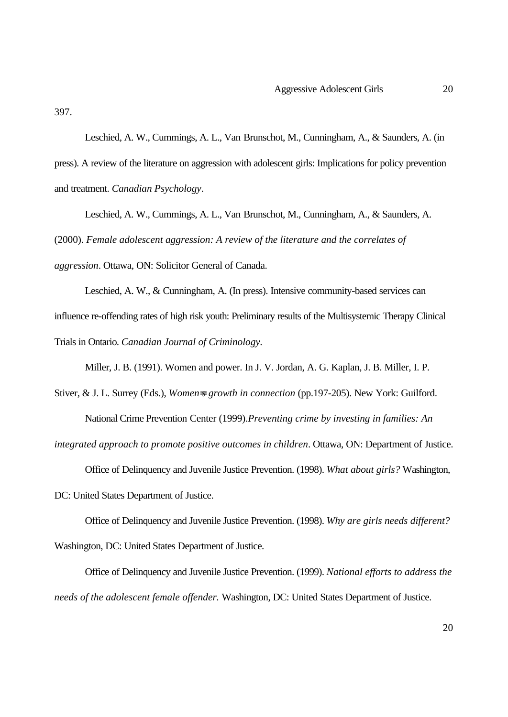397.

Leschied, A. W., Cummings, A. L., Van Brunschot, M., Cunningham, A., & Saunders, A. (in press). A review of the literature on aggression with adolescent girls: Implications for policy prevention and treatment. *Canadian Psychology*.

Leschied, A. W., Cummings, A. L., Van Brunschot, M., Cunningham, A., & Saunders, A. (2000). *Female adolescent aggression: A review of the literature and the correlates of aggression*. Ottawa, ON: Solicitor General of Canada.

Leschied, A. W., & Cunningham, A. (In press). Intensive community-based services can influence re-offending rates of high risk youth: Preliminary results of the Multisystemic Therapy Clinical Trials in Ontario. *Canadian Journal of Criminology.*

Miller, J. B. (1991). Women and power. In J. V. Jordan, A. G. Kaplan, J. B. Miller, I. P.

Stiver, & J. L. Surrey (Eds.), *Women=s growth in connection* (pp.197-205). New York: Guilford. National Crime Prevention Center (1999).*Preventing crime by investing in families: An*

*integrated approach to promote positive outcomes in children*. Ottawa, ON: Department of Justice.

Office of Delinquency and Juvenile Justice Prevention. (1998). *What about girls?* Washington,

DC: United States Department of Justice.

Office of Delinquency and Juvenile Justice Prevention. (1998). *Why are girls needs different?* Washington, DC: United States Department of Justice.

Office of Delinquency and Juvenile Justice Prevention. (1999). *National efforts to address the needs of the adolescent female offender.* Washington, DC: United States Department of Justice.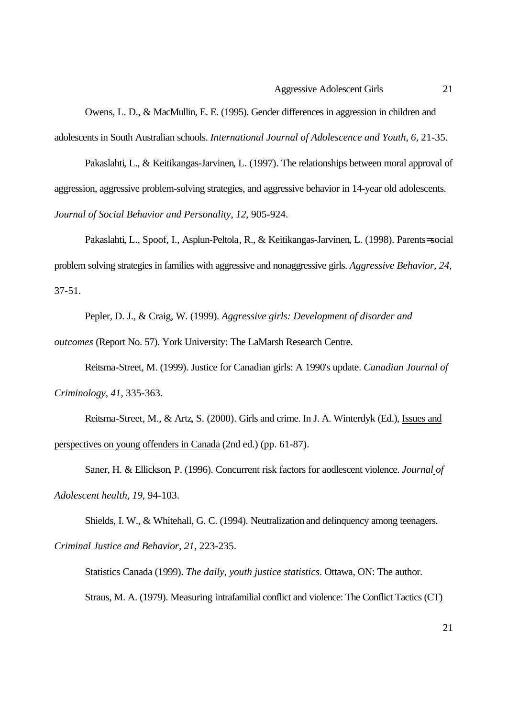Owens, L. D., & MacMullin, E. E. (1995). Gender differences in aggression in children and adolescents in South Australian schools. *International Journal of Adolescence and Youth, 6,* 21-35.

Pakaslahti, L., & Keitikangas-Jarvinen, L. (1997). The relationships between moral approval of aggression, aggressive problem-solving strategies, and aggressive behavior in 14-year old adolescents. *Journal of Social Behavior and Personality, 12*, 905-924.

Pakaslahti, L., Spoof, I., Asplun-Peltola, R., & Keitikangas-Jarvinen, L. (1998). Parents= social problem solving strategies in families with aggressive and nonaggressive girls. *Aggressive Behavior, 24*, 37-51.

Pepler, D. J., & Craig, W. (1999). *Aggressive girls: Development of disorder and*

*outcomes* (Report No. 57). York University: The LaMarsh Research Centre.

Reitsma-Street, M. (1999). Justice for Canadian girls: A 1990's update. *Canadian Journal of Criminology, 41,* 335-363.

Reitsma-Street, M., & Artz, S. (2000). Girls and crime. In J. A. Winterdyk (Ed.), Issues and perspectives on young offenders in Canada (2nd ed.) (pp. 61-87).

Saner, H. & Ellickson, P. (1996). Concurrent risk factors for aodlescent violence. *Journal of Adolescent health, 19*, 94-103.

Shields, I. W., & Whitehall, G. C. (1994). Neutralization and delinquency among teenagers. *Criminal Justice and Behavior, 21*, 223-235.

Statistics Canada (1999). *The daily, youth justice statistics*. Ottawa, ON: The author. Straus, M. A. (1979). Measuring intrafamilial conflict and violence: The Conflict Tactics (CT)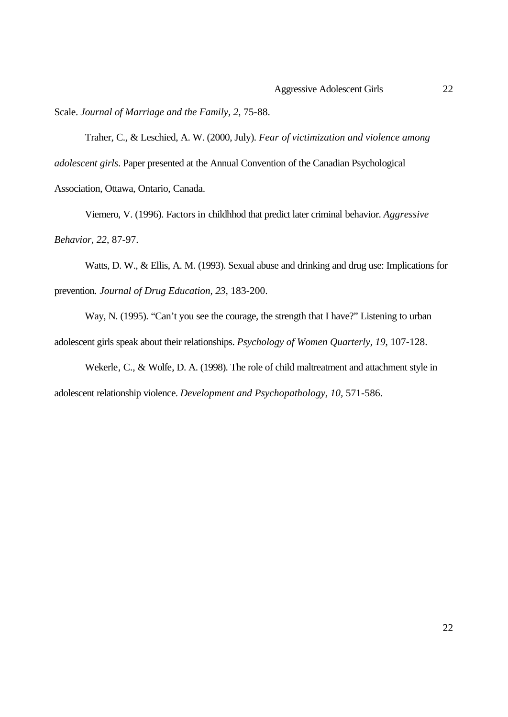Scale. *Journal of Marriage and the Family, 2,* 75-88.

Traher, C., & Leschied, A. W. (2000, July). *Fear of victimization and violence among adolescent girls*. Paper presented at the Annual Convention of the Canadian Psychological Association, Ottawa, Ontario, Canada.

Viemero, V. (1996). Factors in childhhod that predict later criminal behavior. *Aggressive Behavior, 22*, 87-97.

Watts, D. W., & Ellis, A. M. (1993). Sexual abuse and drinking and drug use: Implications for prevention. *Journal of Drug Education, 23*, 183-200.

Way, N. (1995). "Can't you see the courage, the strength that I have?" Listening to urban adolescent girls speak about their relationships. *Psychology of Women Quarterly, 19*, 107-128.

Wekerle, C., & Wolfe, D. A. (1998). The role of child maltreatment and attachment style in adolescent relationship violence. *Development and Psychopathology, 10,* 571-586.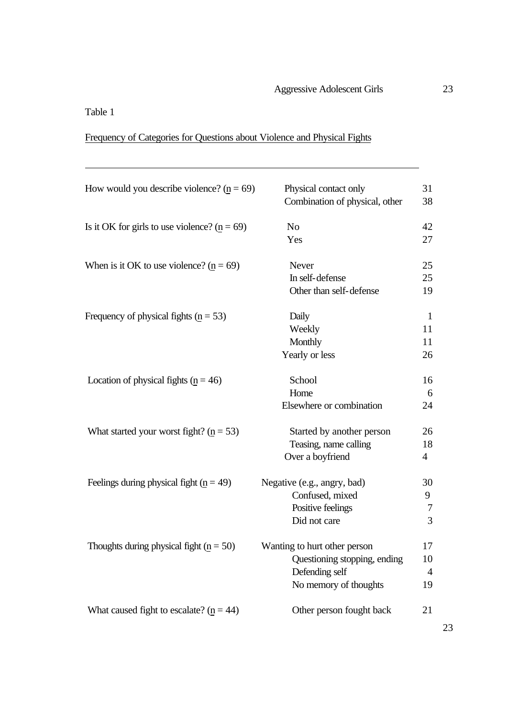### Table 1

 $\overline{a}$ 

## Frequency of Categories for Questions about Violence and Physical Fights

| How would you describe violence? ( $p = 69$ )                | Physical contact only<br>Combination of physical, other                                                 | 31<br>38                         |
|--------------------------------------------------------------|---------------------------------------------------------------------------------------------------------|----------------------------------|
| Is it OK for girls to use violence? ( $\underline{n} = 69$ ) | No<br>Yes                                                                                               | 42<br>27                         |
| When is it OK to use violence? ( $\underline{n} = 69$ )      | Never<br>In self-defense<br>Other than self-defense                                                     | 25<br>25<br>19                   |
| Frequency of physical fights ( $p = 53$ )                    | Daily<br>Weekly<br>Monthly<br>Yearly or less                                                            | $\mathbf{1}$<br>11<br>11<br>26   |
| Location of physical fights ( $p = 46$ )                     | School<br>Home<br>Elsewhere or combination                                                              | 16<br>6<br>24                    |
| What started your worst fight? ( $p = 53$ )                  | Started by another person<br>Teasing, name calling<br>Over a boyfriend                                  | 26<br>18<br>$\overline{4}$       |
| Feelings during physical fight ( $n = 49$ )                  | Negative (e.g., angry, bad)<br>Confused, mixed<br>Positive feelings<br>Did not care                     | 30<br>9<br>7<br>3                |
| Thoughts during physical fight $(p = 50)$                    | Wanting to hurt other person<br>Questioning stopping, ending<br>Defending self<br>No memory of thoughts | 17<br>10<br>$\overline{4}$<br>19 |
| What caused fight to escalate? $(p = 44)$                    | Other person fought back                                                                                | 21                               |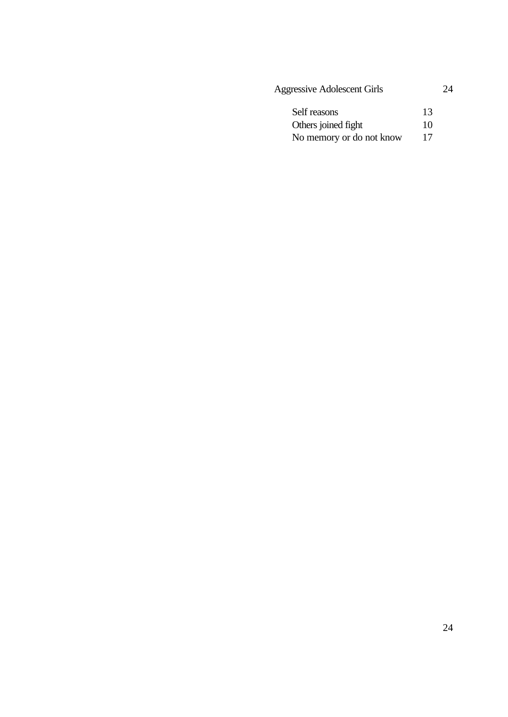| <b>Aggressive Adolescent Girls</b> | 24 |
|------------------------------------|----|
| Self reasons                       | 13 |
| Others joined fight                | 10 |
| No memory or do not know           | 17 |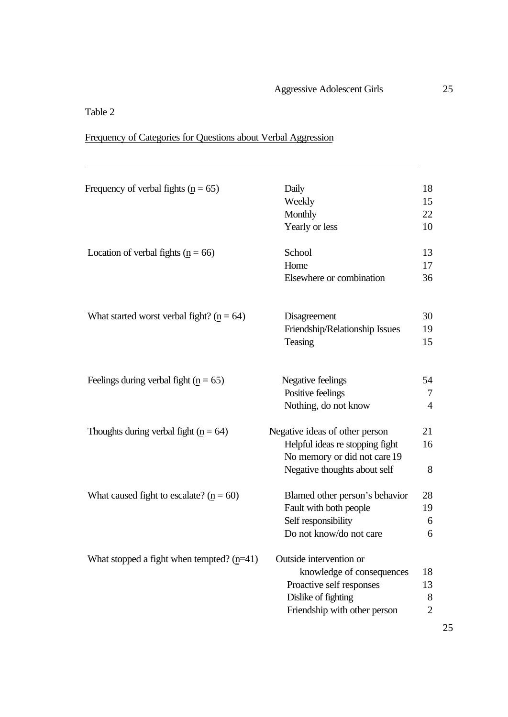### Table 2

 $\overline{a}$ 

## Frequency of Categories for Questions about Verbal Aggression

| Frequency of verbal fights ( $p = 65$ )                   | Daily<br>Weekly<br>Monthly<br>Yearly or less                                                                                            | 18<br>15<br>22<br>10            |
|-----------------------------------------------------------|-----------------------------------------------------------------------------------------------------------------------------------------|---------------------------------|
| Location of verbal fights ( $p = 66$ )                    | School<br>Home<br>Elsewhere or combination                                                                                              | 13<br>17<br>36                  |
| What started worst verbal fight? ( $\underline{n} = 64$ ) | Disagreement<br>Friendship/Relationship Issues<br>Teasing                                                                               | 30<br>19<br>15                  |
| Feelings during verbal fight ( $p = 65$ )                 | Negative feelings<br>Positive feelings<br>Nothing, do not know                                                                          | 54<br>7<br>$\overline{4}$       |
| Thoughts during verbal fight ( $n = 64$ )                 | Negative ideas of other person<br>Helpful ideas re stopping fight<br>No memory or did not care 19<br>Negative thoughts about self       | 21<br>16<br>8                   |
| What caused fight to escalate? ( $\mathbf{n} = 60$ )      | Blamed other person's behavior<br>Fault with both people<br>Self responsibility<br>Do not know/do not care                              | 28<br>19<br>6<br>6              |
| What stopped a fight when tempted? $(p=41)$               | Outside intervention or<br>knowledge of consequences<br>Proactive self responses<br>Dislike of fighting<br>Friendship with other person | 18<br>13<br>8<br>$\overline{2}$ |